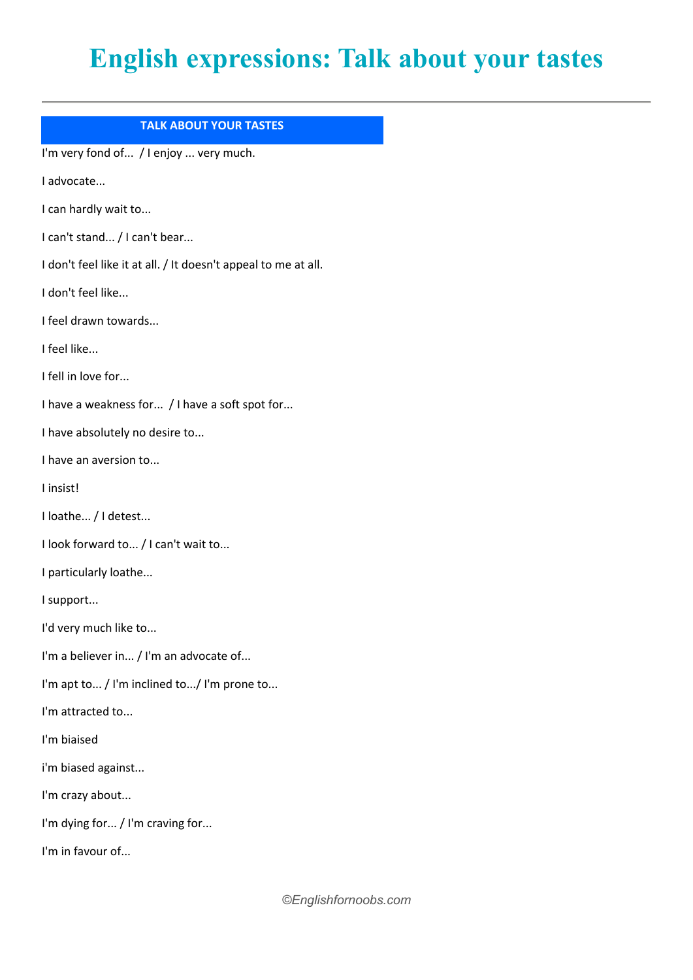## **English expressions: Talk about your tastes**

## **TALK ABOUT YOUR TASTES**

I'm very fond of... / I enjoy ... very much.

I advocate...

I can hardly wait to...

I can't stand... / I can't bear...

I don't feel like it at all. / It doesn't appeal to me at all.

I don't feel like...

I feel drawn towards...

I feel like...

I fell in love for...

I have a weakness for... / I have a soft spot for...

I have absolutely no desire to...

I have an aversion to...

I insist!

I loathe... / I detest...

I look forward to... / I can't wait to...

I particularly loathe...

I support...

I'd very much like to...

I'm a believer in... / I'm an advocate of...

I'm apt to... / I'm inclined to.../ I'm prone to...

I'm attracted to...

I'm biaised

i'm biased against...

I'm crazy about...

I'm dying for... / I'm craving for...

I'm in favour of...